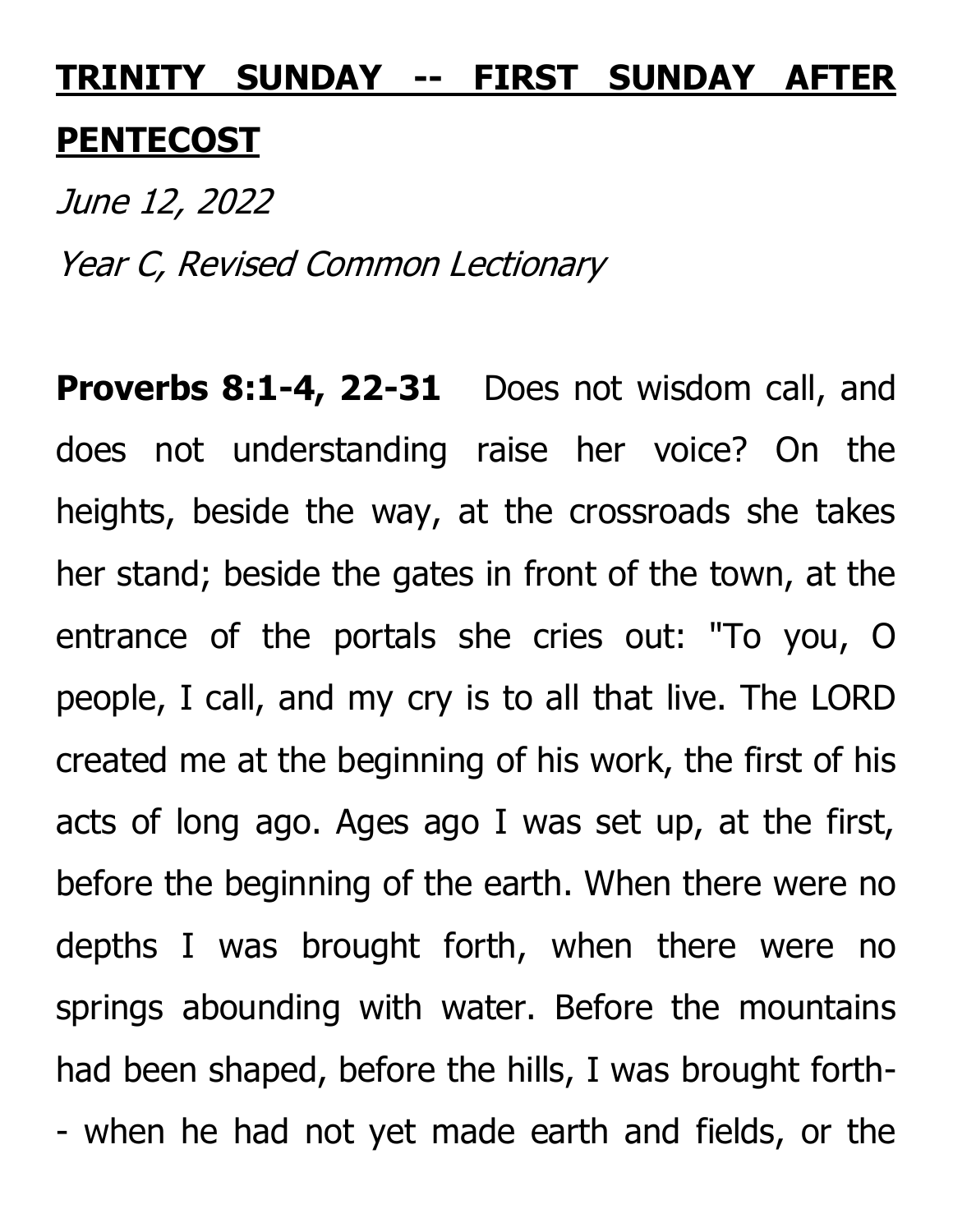## **TRINITY SUNDAY -- FIRST SUNDAY AFTER PENTECOST**

June 12, 2022 Year C, Revised Common Lectionary

Proverbs 8:1-4, 22-31 Does not wisdom call, and does not understanding raise her voice? On the heights, beside the way, at the crossroads she takes her stand; beside the gates in front of the town, at the entrance of the portals she cries out: "To you, O people, I call, and my cry is to all that live. The LORD created me at the beginning of his work, the first of his acts of long ago. Ages ago I was set up, at the first, before the beginning of the earth. When there were no depths I was brought forth, when there were no springs abounding with water. Before the mountains had been shaped, before the hills, I was brought forth- - when he had not yet made earth and fields, or the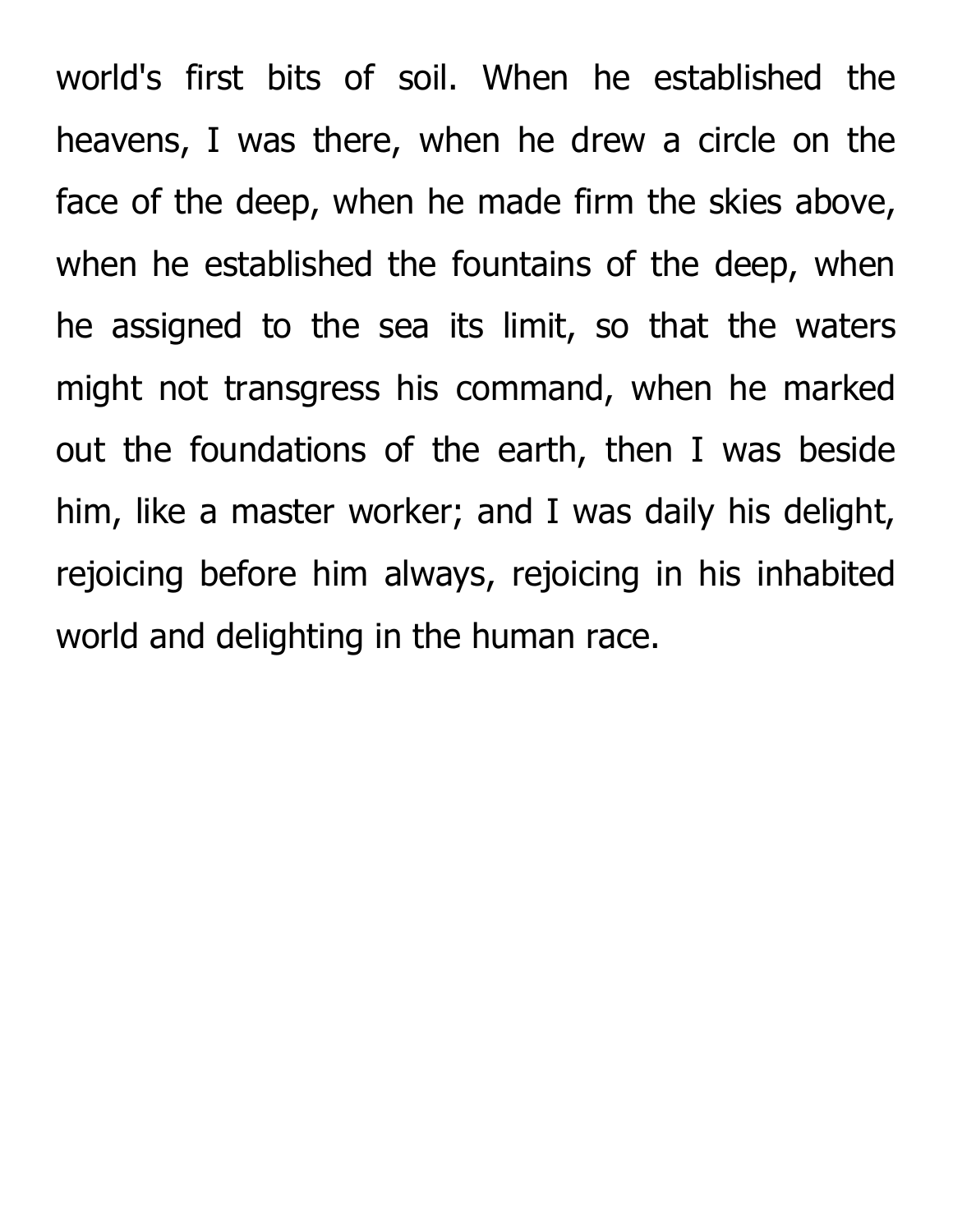world's first bits of soil. When he established the heavens, I was there, when he drew a circle on the face of the deep, when he made firm the skies above, when he established the fountains of the deep, when he assigned to the sea its limit, so that the waters might not transgress his command, when he marked out the foundations of the earth, then I was beside him, like a master worker; and I was daily his delight, rejoicing before him always, rejoicing in his inhabited world and delighting in the human race.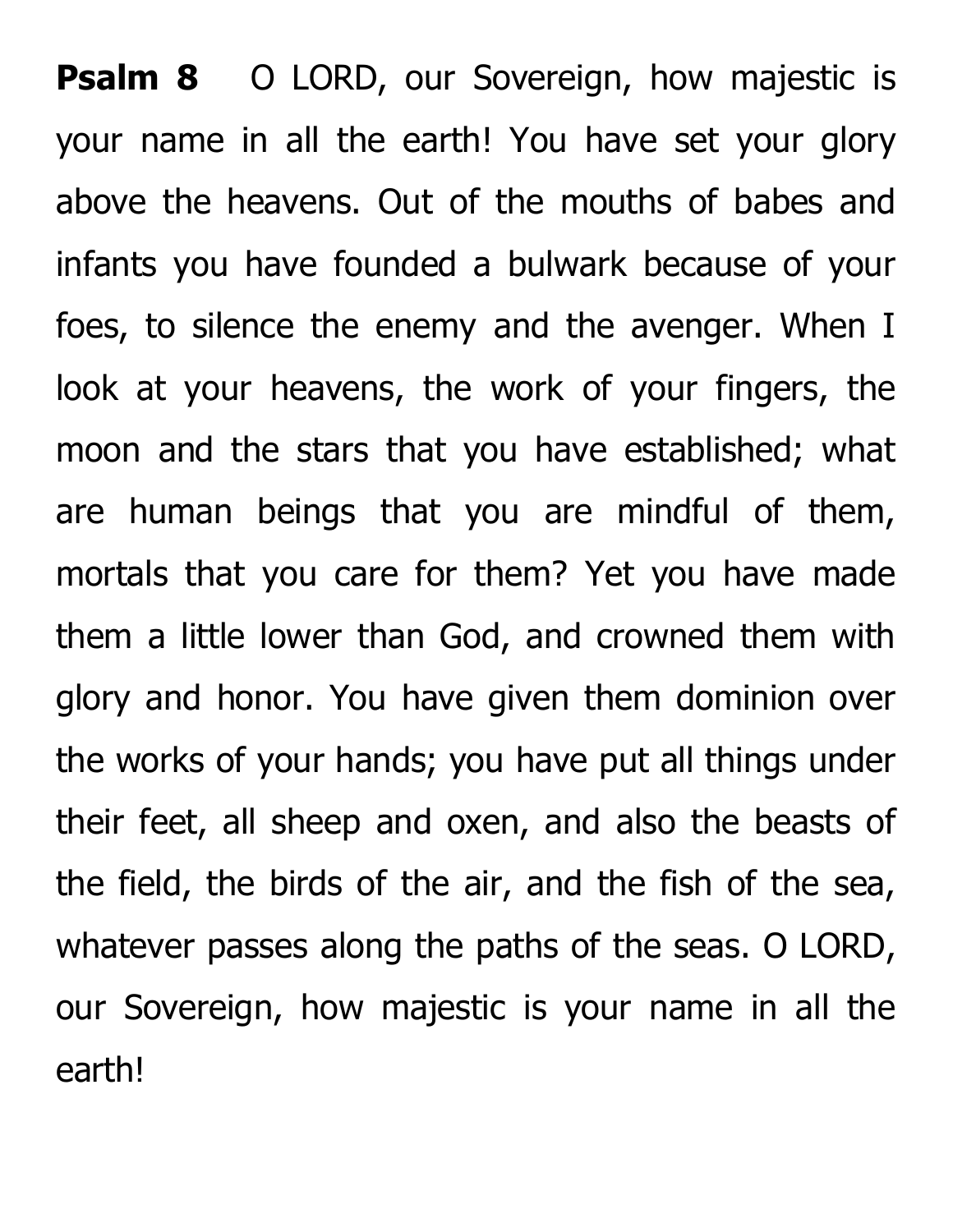**Psalm 8** O LORD, our Sovereign, how majestic is your name in all the earth! You have set your glory above the heavens. Out of the mouths of babes and infants you have founded a bulwark because of your foes, to silence the enemy and the avenger. When I look at your heavens, the work of your fingers, the moon and the stars that you have established; what are human beings that you are mindful of them, mortals that you care for them? Yet you have made them a little lower than God, and crowned them with glory and honor. You have given them dominion over the works of your hands; you have put all things under their feet, all sheep and oxen, and also the beasts of the field, the birds of the air, and the fish of the sea, whatever passes along the paths of the seas. O LORD, our Sovereign, how majestic is your name in all the earth!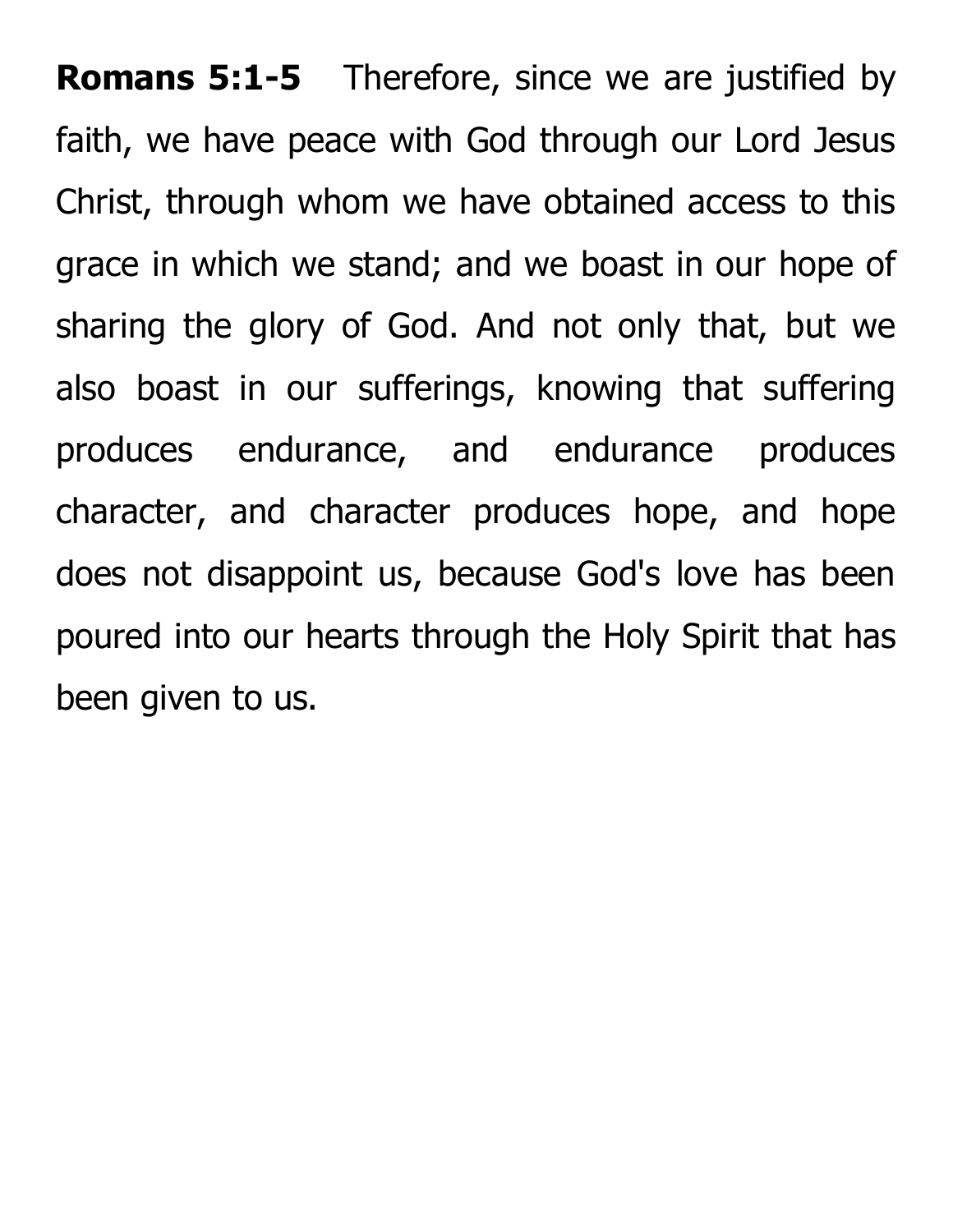**Romans 5:1-5** Therefore, since we are justified by faith, we have peace with God through our Lord Jesus Christ, through whom we have obtained access to this grace in which we stand; and we boast in our hope of sharing the glory of God. And not only that, but we also boast in our sufferings, knowing that suffering produces endurance, and endurance produces character, and character produces hope, and hope does not disappoint us, because God's love has been poured into our hearts through the Holy Spirit that has been given to us.